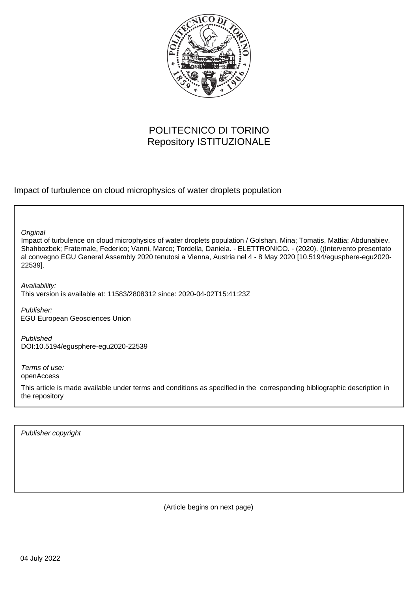

## POLITECNICO DI TORINO Repository ISTITUZIONALE

Impact of turbulence on cloud microphysics of water droplets population

**Original** 

Impact of turbulence on cloud microphysics of water droplets population / Golshan, Mina; Tomatis, Mattia; Abdunabiev, Shahbozbek; Fraternale, Federico; Vanni, Marco; Tordella, Daniela. - ELETTRONICO. - (2020). ((Intervento presentato al convegno EGU General Assembly 2020 tenutosi a Vienna, Austria nel 4 - 8 May 2020 [10.5194/egusphere-egu2020- 22539].

Availability: This version is available at: 11583/2808312 since: 2020-04-02T15:41:23Z

Publisher: EGU European Geosciences Union

Published DOI:10.5194/egusphere-egu2020-22539

Terms of use: openAccess

This article is made available under terms and conditions as specified in the corresponding bibliographic description in the repository

Publisher copyright

(Article begins on next page)